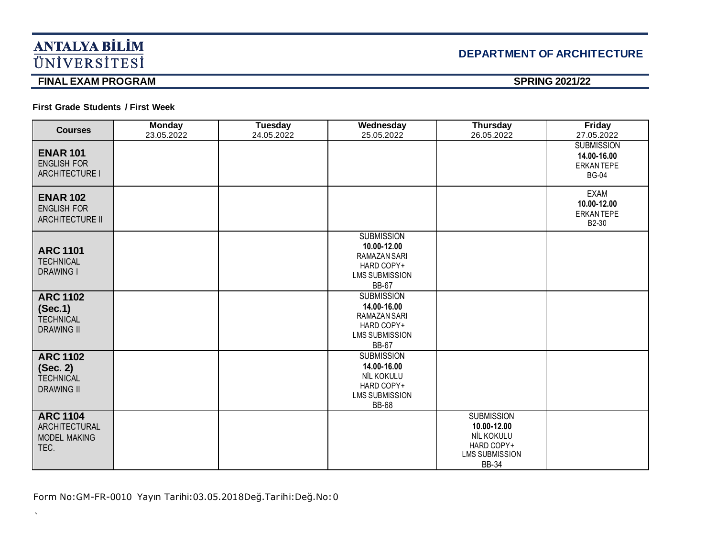# **DEPARTMENT OF ARCHITECTURE**

## **FINAL EXAM PROGRAM** SPRING 2021/22

 $\bar{\mathbf{v}}$ 

### **First Grade Students / First Week**

| <b>Courses</b>                                                       | <b>Monday</b><br>23.05.2022 | <b>Tuesday</b><br>24.05.2022 | Wednesday<br>25.05.2022                                                                                 | <b>Thursday</b><br>26.05.2022                                                                         | <b>Friday</b><br>27.05.2022                                    |
|----------------------------------------------------------------------|-----------------------------|------------------------------|---------------------------------------------------------------------------------------------------------|-------------------------------------------------------------------------------------------------------|----------------------------------------------------------------|
| <b>ENAR 101</b><br><b>ENGLISH FOR</b><br>ARCHITECTURE I              |                             |                              |                                                                                                         |                                                                                                       | <b>SUBMISSION</b><br>14.00-16.00<br>ERKAN TEPE<br><b>BG-04</b> |
| <b>ENAR 102</b><br><b>ENGLISH FOR</b><br><b>ARCHITECTURE II</b>      |                             |                              |                                                                                                         |                                                                                                       | <b>EXAM</b><br>10.00-12.00<br><b>ERKANTEPE</b><br>B2-30        |
| <b>ARC 1101</b><br><b>TECHNICAL</b><br><b>DRAWING I</b>              |                             |                              | <b>SUBMISSION</b><br>10.00-12.00<br>RAMAZAN SARI<br>HARD COPY+<br><b>LMS SUBMISSION</b><br><b>BB-67</b> |                                                                                                       |                                                                |
| <b>ARC 1102</b><br>(Sec.1)<br><b>TECHNICAL</b><br><b>DRAWING II</b>  |                             |                              | <b>SUBMISSION</b><br>14.00-16.00<br>RAMAZAN SARI<br>HARD COPY+<br><b>LMS SUBMISSION</b><br><b>BB-67</b> |                                                                                                       |                                                                |
| <b>ARC 1102</b><br>(Sec. 2)<br><b>TECHNICAL</b><br><b>DRAWING II</b> |                             |                              | <b>SUBMISSION</b><br>14.00-16.00<br>NİL KOKULU<br>HARD COPY+<br><b>LMS SUBMISSION</b><br><b>BB-68</b>   |                                                                                                       |                                                                |
| <b>ARC 1104</b><br>ARCHITECTURAL<br><b>MODEL MAKING</b><br>TEC.      |                             |                              |                                                                                                         | <b>SUBMISSION</b><br>10.00-12.00<br>NİL KOKULU<br>HARD COPY+<br><b>LMS SUBMISSION</b><br><b>BB-34</b> |                                                                |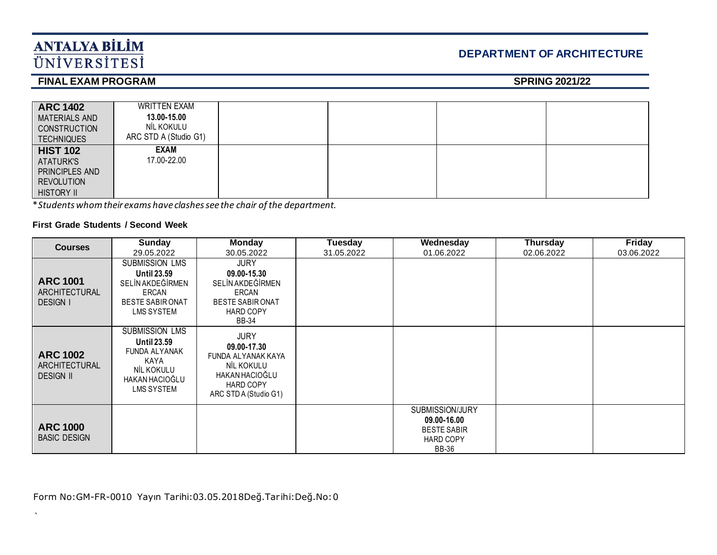# **DEPARTMENT OF ARCHITECTURE**

## **FINAL EXAM PROGRAM** SPRING 2021/22

| <b>ARC 1402</b><br><b>MATERIALS AND</b><br><b>CONSTRUCTION</b><br><b>TECHNIQUES</b>      | <b>WRITTEN EXAM</b><br>13.00-15.00<br>NİL KOKULU<br>ARC STD A (Studio G1) |  |  |
|------------------------------------------------------------------------------------------|---------------------------------------------------------------------------|--|--|
| <b>HIST 102</b><br>ATATURK'S<br>PRINCIPLES AND<br><b>REVOLUTION</b><br><b>HISTORY II</b> | <b>EXAM</b><br>17.00-22.00                                                |  |  |

\**Students whom their exams have clashes see the chair of the department.*

### **First Grade Students / Second Week**

 $\lambda$ 

| <b>Courses</b>                                             | <b>Sunday</b>                                                                                                      | <b>Monday</b>                                                                                                          | <b>Tuesday</b> | Wednesday                                                                                | <b>Thursday</b> | Friday     |
|------------------------------------------------------------|--------------------------------------------------------------------------------------------------------------------|------------------------------------------------------------------------------------------------------------------------|----------------|------------------------------------------------------------------------------------------|-----------------|------------|
|                                                            | 29.05.2022                                                                                                         | 30.05.2022                                                                                                             | 31.05.2022     | 01.06.2022                                                                               | 02.06.2022      | 03.06.2022 |
|                                                            | <b>SUBMISSION LMS</b>                                                                                              | <b>JURY</b>                                                                                                            |                |                                                                                          |                 |            |
| <b>ARC 1001</b><br><b>ARCHITECTURAL</b><br><b>DESIGN I</b> | <b>Until 23.59</b><br>SELİN AKDEĞİRMEN<br>ERCAN<br><b>BESTE SABIR ONAT</b><br>LMS SYSTEM                           | 09.00-15.30<br>SELİN AKDEĞİRMEN<br>ERCAN<br><b>BESTE SABIR ONAT</b><br><b>HARD COPY</b><br><b>BB-34</b>                |                |                                                                                          |                 |            |
| <b>ARC 1002</b><br>ARCHITECTURAL<br><b>DESIGN II</b>       | <b>SUBMISSION LMS</b><br><b>Until 23.59</b><br>FUNDA ALYANAK<br>KAYA<br>NIL KOKULU<br>HAKAN HACIOĞLU<br>LMS SYSTEM | <b>JURY</b><br>09.00-17.30<br>FUNDA ALYANAK KAYA<br>NİL KOKULU<br>HAKAN HACIOĞLU<br>HARD COPY<br>ARC STD A (Studio G1) |                |                                                                                          |                 |            |
| <b>ARC 1000</b><br><b>BASIC DESIGN</b>                     |                                                                                                                    |                                                                                                                        |                | SUBMISSION/JURY<br>09.00-16.00<br><b>BESTE SABIR</b><br><b>HARD COPY</b><br><b>BB-36</b> |                 |            |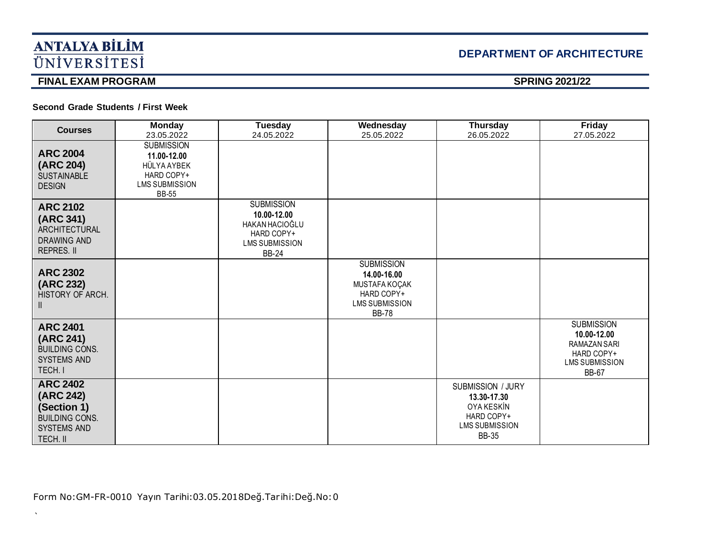# **DEPARTMENT OF ARCHITECTURE**

# **FINAL EXAM PROGRAM** SPRING 2021/22

 $\bar{\mathbf{v}}$ 

**Second Grade Students / First Week** 

| <b>Courses</b>                                                                                         | <b>Monday</b><br>23.05.2022                                                                            | <b>Tuesday</b><br>24.05.2022                                                                                     | Wednesday<br>25.05.2022                                                                                  | <b>Thursday</b><br>26.05.2022                                                                                | <b>Friday</b><br>27.05.2022                                                                             |
|--------------------------------------------------------------------------------------------------------|--------------------------------------------------------------------------------------------------------|------------------------------------------------------------------------------------------------------------------|----------------------------------------------------------------------------------------------------------|--------------------------------------------------------------------------------------------------------------|---------------------------------------------------------------------------------------------------------|
| <b>ARC 2004</b><br>(ARC 204)<br><b>SUSTAINABLE</b><br><b>DESIGN</b>                                    | <b>SUBMISSION</b><br>11.00-12.00<br>HÜLYA AYBEK<br>HARD COPY+<br><b>LMS SUBMISSION</b><br><b>BB-55</b> |                                                                                                                  |                                                                                                          |                                                                                                              |                                                                                                         |
| <b>ARC 2102</b><br>(ARC 341)<br>ARCHITECTURAL<br><b>DRAWING AND</b><br>REPRES. II                      |                                                                                                        | <b>SUBMISSION</b><br>10.00-12.00<br><b>HAKAN HACIOĞLU</b><br>HARD COPY+<br><b>LMS SUBMISSION</b><br><b>BB-24</b> |                                                                                                          |                                                                                                              |                                                                                                         |
| <b>ARC 2302</b><br>(ARC 232)<br>HISTORY OF ARCH.                                                       |                                                                                                        |                                                                                                                  | <b>SUBMISSION</b><br>14.00-16.00<br>MUSTAFA KOÇAK<br>HARD COPY+<br><b>LMS SUBMISSION</b><br><b>BB-78</b> |                                                                                                              |                                                                                                         |
| <b>ARC 2401</b><br>(ARC 241)<br><b>BUILDING CONS.</b><br><b>SYSTEMS AND</b><br>TECH. I                 |                                                                                                        |                                                                                                                  |                                                                                                          |                                                                                                              | <b>SUBMISSION</b><br>10.00-12.00<br>RAMAZAN SARI<br>HARD COPY+<br><b>LMS SUBMISSION</b><br><b>BB-67</b> |
| <b>ARC 2402</b><br>(ARC 242)<br>(Section 1)<br><b>BUILDING CONS.</b><br><b>SYSTEMS AND</b><br>TECH. II |                                                                                                        |                                                                                                                  |                                                                                                          | <b>SUBMISSION / JURY</b><br>13.30-17.30<br>OYA KESKİN<br>HARD COPY+<br><b>LMS SUBMISSION</b><br><b>BB-35</b> |                                                                                                         |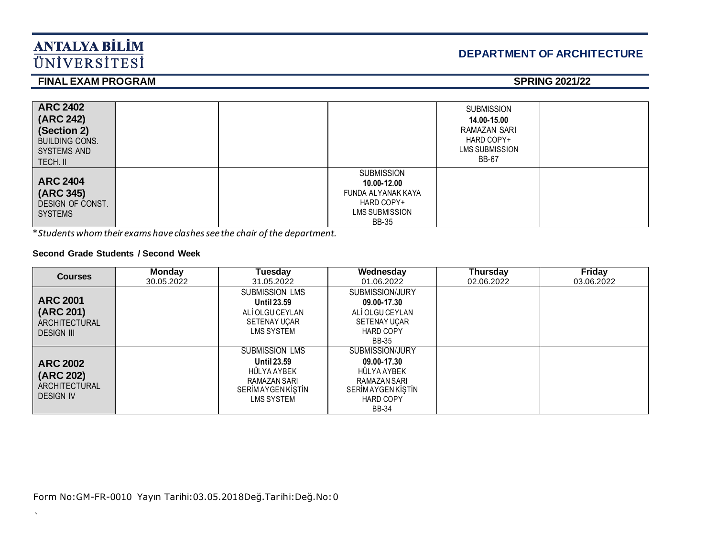# **DEPARTMENT OF ARCHITECTURE**

## **FINAL EXAM PROGRAM** SPRING 2021/22

| <b>ARC 2402</b><br>(ARC 242)<br>(Section 2)<br><b>BUILDING CONS.</b><br>SYSTEMS AND<br>TECH. II |  |                                                                                                        | <b>SUBMISSION</b><br>14.00-15.00<br>RAMAZAN SARI<br>HARD COPY+<br>LMS SUBMISSION<br><b>BB-67</b> |  |
|-------------------------------------------------------------------------------------------------|--|--------------------------------------------------------------------------------------------------------|--------------------------------------------------------------------------------------------------|--|
| <b>ARC 2404</b><br>(ARC 345)<br>DESIGN OF CONST.<br><b>SYSTEMS</b>                              |  | <b>SUBMISSION</b><br>10.00-12.00<br>FUNDA ALYANAK KAYA<br>HARD COPY+<br>LMS SUBMISSION<br><b>BB-35</b> |                                                                                                  |  |

\**Students whom their exams have clashes see the chair of the department.*

### **Second Grade Students / Second Week**

 $\lambda$ 

| <b>Courses</b>                                                     | <b>Monday</b><br>30.05.2022 | Tuesday<br>31.05.2022                                                                                                       | Wednesday<br>01.06.2022                                                                                                       | <b>Thursday</b><br>02.06.2022 | <b>Friday</b><br>03.06.2022 |
|--------------------------------------------------------------------|-----------------------------|-----------------------------------------------------------------------------------------------------------------------------|-------------------------------------------------------------------------------------------------------------------------------|-------------------------------|-----------------------------|
| <b>ARC 2001</b><br>(ARC 201)<br>ARCHITECTURAL<br><b>DESIGN III</b> |                             | <b>SUBMISSION LMS</b><br><b>Until 23.59</b><br>ALI OLGU CEYLAN<br><b>SETENAY UCAR</b><br><b>LMS SYSTEM</b>                  | SUBMISSION/JURY<br>09.00-17.30<br>ALI OLGU CEYLAN<br><b>SETENAY UCAR</b><br><b>HARD COPY</b><br><b>BB-35</b>                  |                               |                             |
| <b>ARC 2002</b><br>(ARC 202)<br>ARCHITECTURAL<br><b>DESIGN IV</b>  |                             | <b>SUBMISSION LMS</b><br><b>Until 23.59</b><br>HÜLYA AYBEK<br>RAMAZAN SARI<br><b>SERİMAYGEN KİŞTİN</b><br><b>LMS SYSTEM</b> | SUBMISSION/JURY<br>09.00-17.30<br>HÜLYA AYBEK<br>RAMAZAN SARI<br><b>SERİMAYGEN KİŞTİN</b><br><b>HARD COPY</b><br><b>BB-34</b> |                               |                             |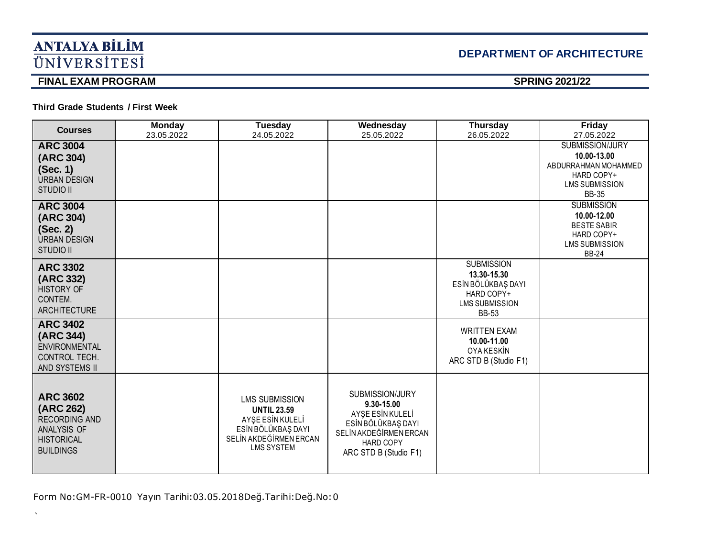# **DEPARTMENT OF ARCHITECTURE**

## **FINAL EXAM PROGRAM** SPRING 2021/22

 $\bar{\mathbf{v}}$ 

### **Third Grade Students / First Week**

| <b>Courses</b>                                                                                               | <b>Monday</b><br>23.05.2022 | <b>Tuesday</b><br>24.05.2022                                                                                                         | Wednesday<br>25.05.2022                                                                                                                 | <b>Thursday</b><br>26.05.2022                                                                                 | <b>Friday</b><br>27.05.2022                                                                                          |
|--------------------------------------------------------------------------------------------------------------|-----------------------------|--------------------------------------------------------------------------------------------------------------------------------------|-----------------------------------------------------------------------------------------------------------------------------------------|---------------------------------------------------------------------------------------------------------------|----------------------------------------------------------------------------------------------------------------------|
| <b>ARC 3004</b><br>(ARC 304)<br>(Sec. 1)<br><b>URBAN DESIGN</b><br><b>STUDIO II</b>                          |                             |                                                                                                                                      |                                                                                                                                         |                                                                                                               | <b>SUBMISSION/JURY</b><br>10.00-13.00<br>ABDURRAHMAN MOHAMMED<br>HARD COPY+<br><b>LMS SUBMISSION</b><br><b>BB-35</b> |
| <b>ARC 3004</b><br>(ARC 304)<br>(Sec. 2)<br><b>URBAN DESIGN</b><br><b>STUDIO II</b>                          |                             |                                                                                                                                      |                                                                                                                                         |                                                                                                               | <b>SUBMISSION</b><br>10.00-12.00<br><b>BESTE SABIR</b><br>HARD COPY+<br><b>LMS SUBMISSION</b><br><b>BB-24</b>        |
| <b>ARC 3302</b><br>(ARC 332)<br><b>HISTORY OF</b><br>CONTEM.<br><b>ARCHITECTURE</b>                          |                             |                                                                                                                                      |                                                                                                                                         | <b>SUBMISSION</b><br>13.30-15.30<br>ESİN BÖLÜKBAŞ DAYI<br>HARD COPY+<br><b>LMS SUBMISSION</b><br><b>BB-53</b> |                                                                                                                      |
| <b>ARC 3402</b><br>(ARC 344)<br><b>ENVIRONMENTAL</b><br>CONTROL TECH.<br>AND SYSTEMS II                      |                             |                                                                                                                                      |                                                                                                                                         | <b>WRITTEN EXAM</b><br>10.00-11.00<br><b>OYA KESKİN</b><br>ARC STD B (Studio F1)                              |                                                                                                                      |
| <b>ARC 3602</b><br>(ARC 262)<br><b>RECORDING AND</b><br>ANALYSIS OF<br><b>HISTORICAL</b><br><b>BUILDINGS</b> |                             | <b>LMS SUBMISSION</b><br><b>UNTIL 23.59</b><br>AYŞE ESİN KULELİ<br>ESİN BÖLÜKBAŞ DAYI<br>SELİN AKDEĞİRMEN ERCAN<br><b>LMS SYSTEM</b> | SUBMISSION/JURY<br>9.30-15.00<br>AYSE ESIN KULELI<br>ESİN BÖLÜKBAŞ DAYI<br>SELİN AKDEĞİRMEN ERCAN<br>HARD COPY<br>ARC STD B (Studio F1) |                                                                                                               |                                                                                                                      |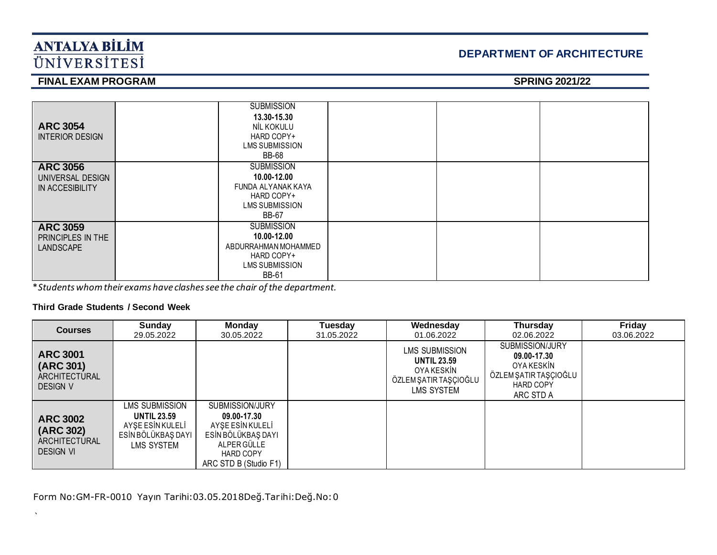# **DEPARTMENT OF ARCHITECTURE**

# **FINAL EXAM PROGRAM** SPRING 2021/22

| <b>ARC 3054</b><br><b>INTERIOR DESIGN</b> | <b>SUBMISSION</b><br>13.30-15.30<br>NİL KOKULU<br>HARD COPY+<br><b>LMS SUBMISSION</b><br><b>BB-68</b> |  |
|-------------------------------------------|-------------------------------------------------------------------------------------------------------|--|
| <b>ARC 3056</b><br>UNIVERSAL DESIGN       | <b>SUBMISSION</b><br>10.00-12.00                                                                      |  |
| IN ACCESIBILITY                           | FUNDA ALYANAK KAYA<br>HARD COPY+                                                                      |  |
|                                           | LMS SUBMISSION                                                                                        |  |
|                                           | BB-67                                                                                                 |  |
| <b>ARC 3059</b>                           | <b>SUBMISSION</b>                                                                                     |  |
| PRINCIPLES IN THE                         | 10.00-12.00                                                                                           |  |
| <b>LANDSCAPE</b>                          | ABDURRAHMAN MOHAMMED                                                                                  |  |
|                                           | HARD COPY+                                                                                            |  |
|                                           | LMS SUBMISSION                                                                                        |  |
|                                           | <b>BB-61</b>                                                                                          |  |

\**Students whom their exams have clashes see the chair of the department.*

### **Third Grade Students / Second Week**

 $\lambda$ 

| <b>Courses</b>                                                    | Sunday<br>29.05.2022                                                                         | <b>Monday</b><br>30.05.2022                                                                                                          | Tuesday<br>31.05.2022 | Wednesday<br>01.06.2022                                                                          | <b>Thursday</b><br>02.06.2022                                                                          | Friday<br>03.06.2022 |
|-------------------------------------------------------------------|----------------------------------------------------------------------------------------------|--------------------------------------------------------------------------------------------------------------------------------------|-----------------------|--------------------------------------------------------------------------------------------------|--------------------------------------------------------------------------------------------------------|----------------------|
| <b>ARC 3001</b><br>(ARC 301)<br>ARCHITECTURAL<br><b>DESIGN V</b>  |                                                                                              |                                                                                                                                      |                       | <b>LMS SUBMISSION</b><br><b>UNTIL 23.59</b><br>OYA KESKİN<br>ÖZLEM ŞATIR TAŞÇIOĞLU<br>LMS SYSTEM | SUBMISSION/JURY<br>09.00-17.30<br>OYA KESKİN<br>ÖZLEM ŞATIR TAŞÇIOĞLU<br><b>HARD COPY</b><br>ARC STD A |                      |
| <b>ARC 3002</b><br>(ARC 302)<br>ARCHITECTURAL<br><b>DESIGN VI</b> | LMS SUBMISSION<br><b>UNTIL 23.59</b><br>AYŞE ESİN KULELİ<br>ESİN BÖLÜKBAŞ DAYI<br>LMS SYSTEM | SUBMISSION/JURY<br>09.00-17.30<br>AYSE ESIN KULELI<br>ESİN BÖLÜKBAŞ DAYI<br>ALPER GÜLLE<br><b>HARD COPY</b><br>ARC STD B (Studio F1) |                       |                                                                                                  |                                                                                                        |                      |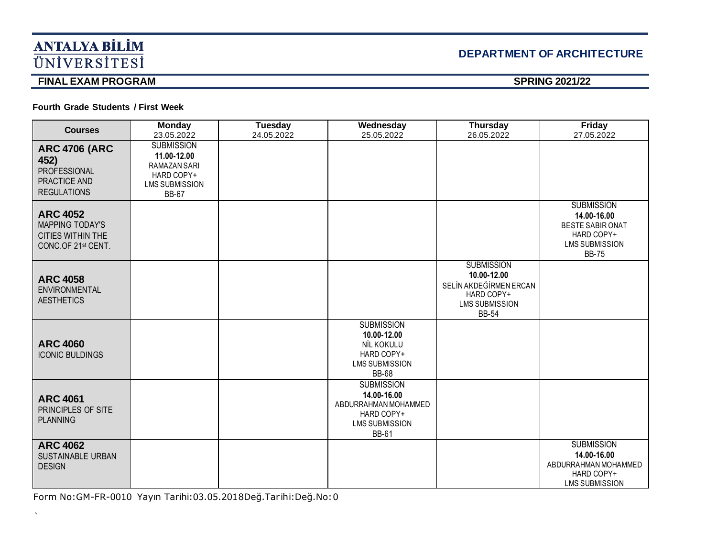# **DEPARTMENT OF ARCHITECTURE**

## **FINAL EXAM PROGRAM** SPRING 2021/22

 $\bar{\mathbf{v}}$ 

**Fourth Grade Students / First Week** 

| <b>Courses</b>                                                                              | <b>Monday</b><br>23.05.2022                                                                             | Tuesday<br>24.05.2022 | Wednesday<br>25.05.2022                                                                                         | <b>Thursday</b><br>26.05.2022                                                                                     | <b>Friday</b><br>27.05.2022                                                                                        |
|---------------------------------------------------------------------------------------------|---------------------------------------------------------------------------------------------------------|-----------------------|-----------------------------------------------------------------------------------------------------------------|-------------------------------------------------------------------------------------------------------------------|--------------------------------------------------------------------------------------------------------------------|
| <b>ARC 4706 (ARC</b><br>452)<br>PROFESSIONAL<br>PRACTICE AND<br><b>REGULATIONS</b>          | <b>SUBMISSION</b><br>11.00-12.00<br>RAMAZAN SARI<br>HARD COPY+<br><b>LMS SUBMISSION</b><br><b>BB-67</b> |                       |                                                                                                                 |                                                                                                                   |                                                                                                                    |
| <b>ARC 4052</b><br><b>MAPPING TODAY'S</b><br><b>CITIES WITHIN THE</b><br>CONC.OF 21st CENT. |                                                                                                         |                       |                                                                                                                 |                                                                                                                   | <b>SUBMISSION</b><br>14.00-16.00<br><b>BESTE SABIR ONAT</b><br>HARD COPY+<br><b>LMS SUBMISSION</b><br><b>BB-75</b> |
| <b>ARC 4058</b><br>ENVIRONMENTAL<br><b>AESTHETICS</b>                                       |                                                                                                         |                       |                                                                                                                 | <b>SUBMISSION</b><br>10.00-12.00<br>SELİN AKDEĞİRMEN ERCAN<br>HARD COPY+<br><b>LMS SUBMISSION</b><br><b>BB-54</b> |                                                                                                                    |
| <b>ARC 4060</b><br><b>ICONIC BULDINGS</b>                                                   |                                                                                                         |                       | <b>SUBMISSION</b><br>10.00-12.00<br>NİL KOKULU<br>HARD COPY+<br><b>LMS SUBMISSION</b><br><b>BB-68</b>           |                                                                                                                   |                                                                                                                    |
| <b>ARC 4061</b><br>PRINCIPLES OF SITE<br><b>PLANNING</b>                                    |                                                                                                         |                       | <b>SUBMISSION</b><br>14.00-16.00<br>ABDURRAHMAN MOHAMMED<br>HARD COPY+<br><b>LMS SUBMISSION</b><br><b>BB-61</b> |                                                                                                                   |                                                                                                                    |
| <b>ARC 4062</b><br><b>SUSTAINABLE URBAN</b><br><b>DESIGN</b>                                |                                                                                                         |                       |                                                                                                                 |                                                                                                                   | <b>SUBMISSION</b><br>14.00-16.00<br>ABDURRAHMAN MOHAMMED<br>HARD COPY+<br><b>LMS SUBMISSION</b>                    |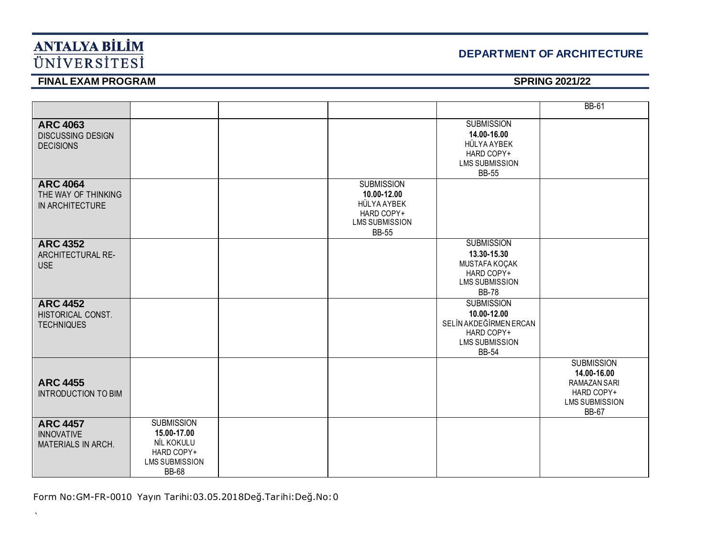## **DEPARTMENT OF ARCHITECTURE**

# **FINAL EXAM PROGRAM** SPRING 2021/22

 $\bar{\mathbf{v}}$ 

|                                                                   |                                                                                                       |                                                                                                        |                                                                                                                   | <b>BB-61</b>                                                                                                   |
|-------------------------------------------------------------------|-------------------------------------------------------------------------------------------------------|--------------------------------------------------------------------------------------------------------|-------------------------------------------------------------------------------------------------------------------|----------------------------------------------------------------------------------------------------------------|
| <b>ARC 4063</b><br><b>DISCUSSING DESIGN</b><br><b>DECISIONS</b>   |                                                                                                       |                                                                                                        | <b>SUBMISSION</b><br>14.00-16.00<br>HÜLYA AYBEK<br>HARD COPY+<br><b>LMS SUBMISSION</b><br><b>BB-55</b>            |                                                                                                                |
| <b>ARC 4064</b><br>THE WAY OF THINKING<br>IN ARCHITECTURE         |                                                                                                       | <b>SUBMISSION</b><br>10.00-12.00<br>HÜLYA AYBEK<br>HARD COPY+<br><b>LMS SUBMISSION</b><br><b>BB-55</b> |                                                                                                                   |                                                                                                                |
| <b>ARC 4352</b><br>ARCHITECTURAL RE-<br><b>USE</b>                |                                                                                                       |                                                                                                        | <b>SUBMISSION</b><br>13.30-15.30<br>MUSTAFA KOÇAK<br>HARD COPY+<br><b>LMS SUBMISSION</b><br><b>BB-78</b>          |                                                                                                                |
| <b>ARC 4452</b><br>HISTORICAL CONST.<br><b>TECHNIQUES</b>         |                                                                                                       |                                                                                                        | <b>SUBMISSION</b><br>10.00-12.00<br>SELİN AKDEĞİRMEN ERCAN<br>HARD COPY+<br><b>LMS SUBMISSION</b><br><b>BB-54</b> |                                                                                                                |
| <b>ARC 4455</b><br><b>INTRODUCTION TO BIM</b>                     |                                                                                                       |                                                                                                        |                                                                                                                   | <b>SUBMISSION</b><br>14.00-16.00<br><b>RAMAZAN SARI</b><br>HARD COPY+<br><b>LMS SUBMISSION</b><br><b>BB-67</b> |
| <b>ARC 4457</b><br><b>INNOVATIVE</b><br><b>MATERIALS IN ARCH.</b> | <b>SUBMISSION</b><br>15.00-17.00<br>NİL KOKULU<br>HARD COPY+<br><b>LMS SUBMISSION</b><br><b>BB-68</b> |                                                                                                        |                                                                                                                   |                                                                                                                |